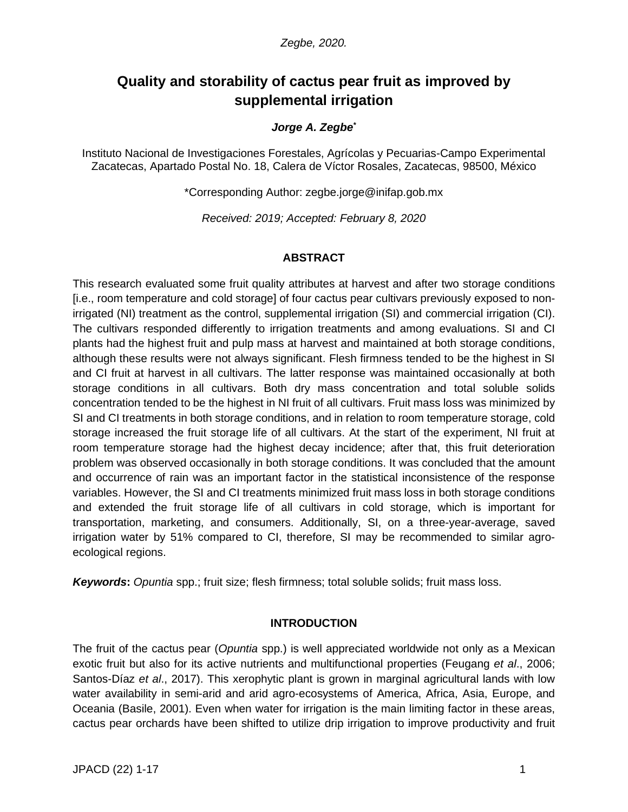# **Quality and storability of cactus pear fruit as improved by supplemental irrigation**

# *Jorge A. Zegbe\**

Instituto Nacional de Investigaciones Forestales, Agrícolas y Pecuarias-Campo Experimental Zacatecas, Apartado Postal No. 18, Calera de Víctor Rosales, Zacatecas, 98500, México

\*Corresponding Author: [zegbe.jorge@inifap.gob.mx](mailto:zegbe.jorge@inifap.gob.mx)

*Received: 2019; Accepted: February 8, 2020*

## **ABSTRACT**

This research evaluated some fruit quality attributes at harvest and after two storage conditions [i.e., room temperature and cold storage] of four cactus pear cultivars previously exposed to nonirrigated (NI) treatment as the control, supplemental irrigation (SI) and commercial irrigation (CI). The cultivars responded differently to irrigation treatments and among evaluations. SI and CI plants had the highest fruit and pulp mass at harvest and maintained at both storage conditions, although these results were not always significant. Flesh firmness tended to be the highest in SI and CI fruit at harvest in all cultivars. The latter response was maintained occasionally at both storage conditions in all cultivars. Both dry mass concentration and total soluble solids concentration tended to be the highest in NI fruit of all cultivars. Fruit mass loss was minimized by SI and CI treatments in both storage conditions, and in relation to room temperature storage, cold storage increased the fruit storage life of all cultivars. At the start of the experiment, NI fruit at room temperature storage had the highest decay incidence; after that, this fruit deterioration problem was observed occasionally in both storage conditions. It was concluded that the amount and occurrence of rain was an important factor in the statistical inconsistence of the response variables. However, the SI and CI treatments minimized fruit mass loss in both storage conditions and extended the fruit storage life of all cultivars in cold storage, which is important for transportation, marketing, and consumers. Additionally, SI, on a three-year-average, saved irrigation water by 51% compared to CI, therefore, SI may be recommended to similar agroecological regions.

*Keywords***:** *Opuntia* spp.; fruit size; flesh firmness; total soluble solids; fruit mass loss.

#### **INTRODUCTION**

The fruit of the cactus pear (*Opuntia* spp.) is well appreciated worldwide not only as a Mexican exotic fruit but also for its active nutrients and multifunctional properties (Feugang *et al*., 2006; Santos-Díaz *et al*., 2017). This xerophytic plant is grown in marginal agricultural lands with low water availability in semi-arid and arid agro-ecosystems of America, Africa, Asia, Europe, and Oceania (Basile, 2001). Even when water for irrigation is the main limiting factor in these areas, cactus pear orchards have been shifted to utilize drip irrigation to improve productivity and fruit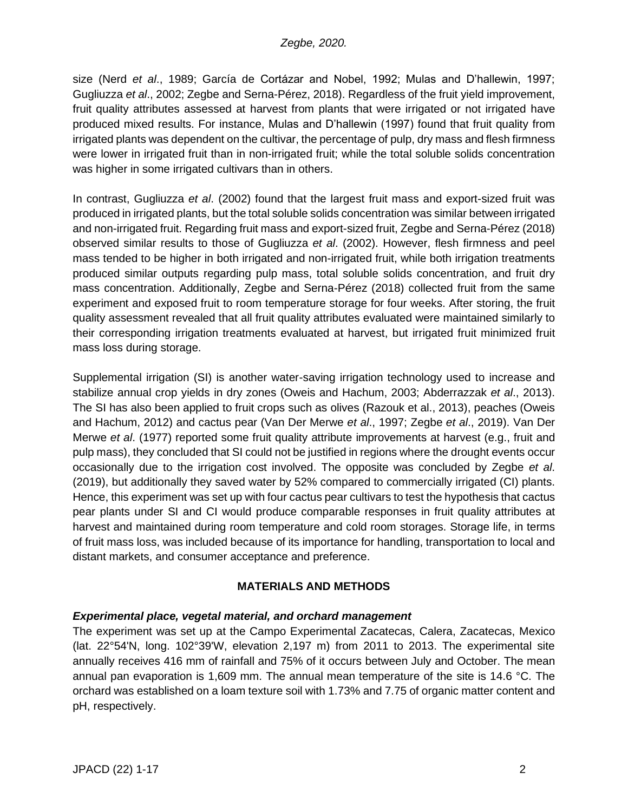size (Nerd *et al*., 1989; García de Cortázar and Nobel, 1992; Mulas and D'hallewin, 1997; Gugliuzza *et al*., 2002; Zegbe and Serna-Pérez, 2018). Regardless of the fruit yield improvement, fruit quality attributes assessed at harvest from plants that were irrigated or not irrigated have produced mixed results. For instance, Mulas and D'hallewin (1997) found that fruit quality from irrigated plants was dependent on the cultivar, the percentage of pulp, dry mass and flesh firmness were lower in irrigated fruit than in non-irrigated fruit; while the total soluble solids concentration was higher in some irrigated cultivars than in others.

In contrast, Gugliuzza *et al*. (2002) found that the largest fruit mass and export-sized fruit was produced in irrigated plants, but the total soluble solids concentration was similar between irrigated and non-irrigated fruit. Regarding fruit mass and export-sized fruit, Zegbe and Serna-Pérez (2018) observed similar results to those of Gugliuzza *et al*. (2002). However, flesh firmness and peel mass tended to be higher in both irrigated and non-irrigated fruit, while both irrigation treatments produced similar outputs regarding pulp mass, total soluble solids concentration, and fruit dry mass concentration. Additionally, Zegbe and Serna-Pérez (2018) collected fruit from the same experiment and exposed fruit to room temperature storage for four weeks. After storing, the fruit quality assessment revealed that all fruit quality attributes evaluated were maintained similarly to their corresponding irrigation treatments evaluated at harvest, but irrigated fruit minimized fruit mass loss during storage.

Supplemental irrigation (SI) is another water-saving irrigation technology used to increase and stabilize annual crop yields in dry zones (Oweis and Hachum, 2003; Abderrazzak *et al*., 2013). The SI has also been applied to fruit crops such as olives (Razouk et al., 2013), peaches (Oweis and Hachum, 2012) and cactus pear (Van Der Merwe *et al*., 1997; Zegbe *et al*., 2019). Van Der Merwe *et al*. (1977) reported some fruit quality attribute improvements at harvest (e.g., fruit and pulp mass), they concluded that SI could not be justified in regions where the drought events occur occasionally due to the irrigation cost involved. The opposite was concluded by Zegbe *et al*. (2019), but additionally they saved water by 52% compared to commercially irrigated (CI) plants. Hence, this experiment was set up with four cactus pear cultivars to test the hypothesis that cactus pear plants under SI and CI would produce comparable responses in fruit quality attributes at harvest and maintained during room temperature and cold room storages. Storage life, in terms of fruit mass loss, was included because of its importance for handling, transportation to local and distant markets, and consumer acceptance and preference.

## **MATERIALS AND METHODS**

## *Experimental place, vegetal material, and orchard management*

The experiment was set up at the Campo Experimental Zacatecas, Calera, Zacatecas, Mexico (lat. 22°54'N, long. 102°39'W, elevation 2,197 m) from 2011 to 2013. The experimental site annually receives 416 mm of rainfall and 75% of it occurs between July and October. The mean annual pan evaporation is 1,609 mm. The annual mean temperature of the site is 14.6 °C. The orchard was established on a loam texture soil with 1.73% and 7.75 of organic matter content and pH, respectively.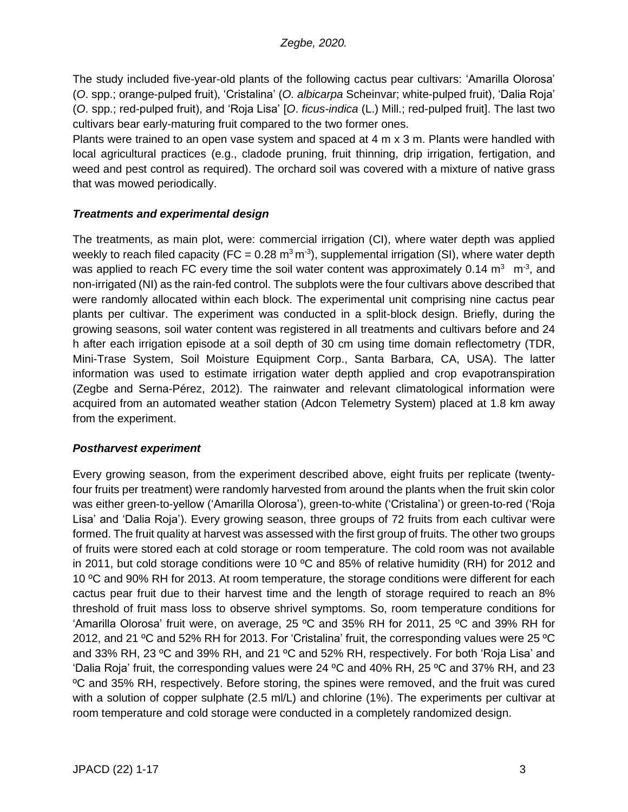The study included five-year-old plants of the following cactus pear cultivars: 'Amarilla Olorosa' (*O*. spp.; orange-pulped fruit), 'Cristalina' (*O. albicarpa* Scheinvar; white-pulped fruit), 'Dalia Roja' (*O*. spp.; red-pulped fruit), and 'Roja Lisa' [*O*. *ficus-indica* (L.) Mill.; red-pulped fruit]. The last two cultivars bear early-maturing fruit compared to the two former ones.

Plants were trained to an open vase system and spaced at 4 m x 3 m. Plants were handled with local agricultural practices (e.g., cladode pruning, fruit thinning, drip irrigation, fertigation, and weed and pest control as required). The orchard soil was covered with a mixture of native grass that was mowed periodically.

# *Treatments and experimental design*

The treatments, as main plot, were: commercial irrigation (CI), where water depth was applied weekly to reach filed capacity (FC = 0.28 m<sup>3</sup> m<sup>-3</sup>), supplemental irrigation (SI), where water depth was applied to reach FC every time the soil water content was approximately 0.14 m<sup>3</sup> m<sup>-3</sup>, and non-irrigated (NI) as the rain-fed control. The subplots were the four cultivars above described that were randomly allocated within each block. The experimental unit comprising nine cactus pear plants per cultivar. The experiment was conducted in a split-block design. Briefly, during the growing seasons, soil water content was registered in all treatments and cultivars before and 24 h after each irrigation episode at a soil depth of 30 cm using time domain reflectometry (TDR, Mini-Trase System, Soil Moisture Equipment Corp., Santa Barbara, CA, USA). The latter information was used to estimate irrigation water depth applied and crop evapotranspiration (Zegbe and Serna-Pérez, 2012). The rainwater and relevant climatological information were acquired from an automated weather station (Adcon Telemetry System) placed at 1.8 km away from the experiment.

## *Postharvest experiment*

Every growing season, from the experiment described above, eight fruits per replicate (twentyfour fruits per treatment) were randomly harvested from around the plants when the fruit skin color was either green-to-yellow ('Amarilla Olorosa'), green-to-white ('Cristalina') or green-to-red ('Roja Lisa' and 'Dalia Roja'). Every growing season, three groups of 72 fruits from each cultivar were formed. The fruit quality at harvest was assessed with the first group of fruits. The other two groups of fruits were stored each at cold storage or room temperature. The cold room was not available in 2011, but cold storage conditions were 10 ºC and 85% of relative humidity (RH) for 2012 and 10 °C and 90% RH for 2013. At room temperature, the storage conditions were different for each cactus pear fruit due to their harvest time and the length of storage required to reach an 8% threshold of fruit mass loss to observe shrivel symptoms. So, room temperature conditions for 'Amarilla Olorosa' fruit were, on average, 25 ºC and 35% RH for 2011, 25 ºC and 39% RH for 2012, and 21 ºC and 52% RH for 2013. For 'Cristalina' fruit, the corresponding values were 25 ºC and 33% RH, 23 ºC and 39% RH, and 21 ºC and 52% RH, respectively. For both 'Roja Lisa' and 'Dalia Roja' fruit, the corresponding values were 24 ºC and 40% RH, 25 ºC and 37% RH, and 23 ºC and 35% RH, respectively. Before storing, the spines were removed, and the fruit was cured with a solution of copper sulphate (2.5 ml/L) and chlorine (1%). The experiments per cultivar at room temperature and cold storage were conducted in a completely randomized design.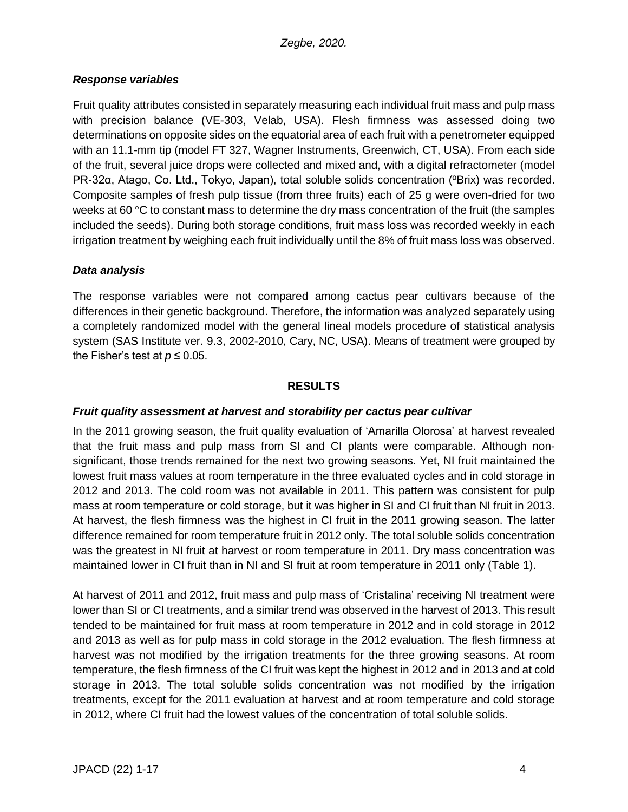## *Response variables*

Fruit quality attributes consisted in separately measuring each individual fruit mass and pulp mass with precision balance (VE-303, Velab, USA). Flesh firmness was assessed doing two determinations on opposite sides on the equatorial area of each fruit with a penetrometer equipped with an 11.1-mm tip (model FT 327, Wagner Instruments, Greenwich, CT, USA). From each side of the fruit, several juice drops were collected and mixed and, with a digital refractometer (model PR-32α, Atago, Co. Ltd., Tokyo, Japan), total soluble solids concentration (ºBrix) was recorded. Composite samples of fresh pulp tissue (from three fruits) each of 25 g were oven-dried for two weeks at 60  $\degree$ C to constant mass to determine the dry mass concentration of the fruit (the samples included the seeds). During both storage conditions, fruit mass loss was recorded weekly in each irrigation treatment by weighing each fruit individually until the 8% of fruit mass loss was observed.

#### *Data analysis*

The response variables were not compared among cactus pear cultivars because of the differences in their genetic background. Therefore, the information was analyzed separately using a completely randomized model with the general lineal models procedure of statistical analysis system (SAS Institute ver. 9.3, 2002-2010, Cary, NC, USA). Means of treatment were grouped by the Fisher's test at  $p \le 0.05$ .

## **RESULTS**

## *Fruit quality assessment at harvest and storability per cactus pear cultivar*

In the 2011 growing season, the fruit quality evaluation of 'Amarilla Olorosa' at harvest revealed that the fruit mass and pulp mass from SI and CI plants were comparable. Although nonsignificant, those trends remained for the next two growing seasons. Yet, NI fruit maintained the lowest fruit mass values at room temperature in the three evaluated cycles and in cold storage in 2012 and 2013. The cold room was not available in 2011. This pattern was consistent for pulp mass at room temperature or cold storage, but it was higher in SI and CI fruit than NI fruit in 2013. At harvest, the flesh firmness was the highest in CI fruit in the 2011 growing season. The latter difference remained for room temperature fruit in 2012 only. The total soluble solids concentration was the greatest in NI fruit at harvest or room temperature in 2011. Dry mass concentration was maintained lower in CI fruit than in NI and SI fruit at room temperature in 2011 only (Table 1).

At harvest of 2011 and 2012, fruit mass and pulp mass of 'Cristalina' receiving NI treatment were lower than SI or CI treatments, and a similar trend was observed in the harvest of 2013. This result tended to be maintained for fruit mass at room temperature in 2012 and in cold storage in 2012 and 2013 as well as for pulp mass in cold storage in the 2012 evaluation. The flesh firmness at harvest was not modified by the irrigation treatments for the three growing seasons. At room temperature, the flesh firmness of the CI fruit was kept the highest in 2012 and in 2013 and at cold storage in 2013. The total soluble solids concentration was not modified by the irrigation treatments, except for the 2011 evaluation at harvest and at room temperature and cold storage in 2012, where CI fruit had the lowest values of the concentration of total soluble solids.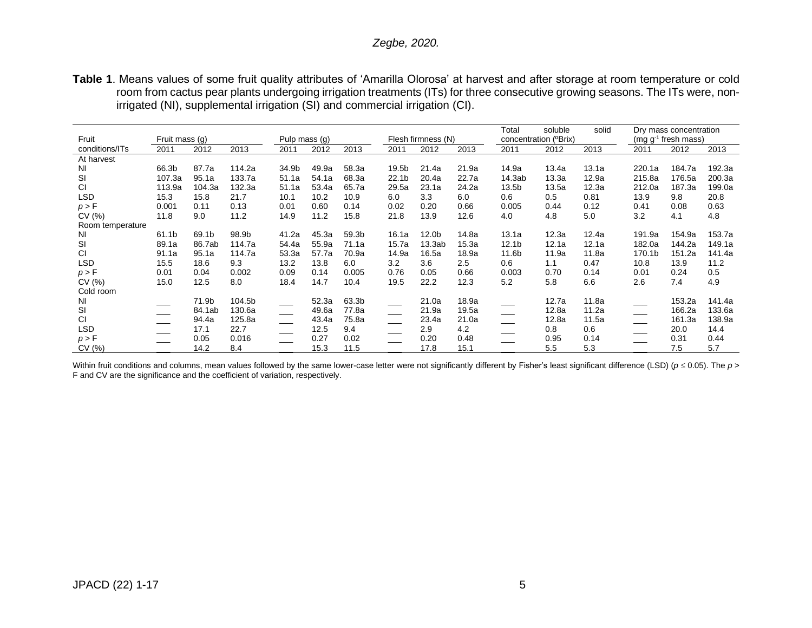**Table 1**. Means values of some fruit quality attributes of 'Amarilla Olorosa' at harvest and after storage at room temperature or cold room from cactus pear plants undergoing irrigation treatments (ITs) for three consecutive growing seasons. The ITs were, nonirrigated (NI), supplemental irrigation (SI) and commercial irrigation (CI).

|                  |                          |        |        |               |       |       |                   |                    | Total<br>solid<br>soluble<br>Dry mass concentration |                   |                       |       |                          |        |        |
|------------------|--------------------------|--------|--------|---------------|-------|-------|-------------------|--------------------|-----------------------------------------------------|-------------------|-----------------------|-------|--------------------------|--------|--------|
| Fruit            | Fruit mass (g)           |        |        | Pulp mass (g) |       |       |                   | Flesh firmness (N) |                                                     |                   | concentration (°Brix) |       | (mg $g^{-1}$ fresh mass) |        |        |
| conditions/ITs   | 2011                     | 2012   | 2013   | 2011          | 2012  | 2013  | 2011              | 2012               | 2013                                                | 2011              | 2012                  | 2013  | 2011                     | 2012   | 2013   |
| At harvest       |                          |        |        |               |       |       |                   |                    |                                                     |                   |                       |       |                          |        |        |
| N <sub>l</sub>   | 66.3b                    | 87.7a  | 114.2a | 34.9b         | 49.9a | 58.3a | 19.5b             | 21.4a              | 21.9a                                               | 14.9a             | 13.4a                 | 13.1a | 220.1a                   | 184.7a | 192.3a |
| <b>SI</b>        | 107.3a                   | 95.1a  | 133.7a | 51.1a         | 54.1a | 68.3a | 22.1 <sub>b</sub> | 20.4a              | 22.7a                                               | 14.3ab            | 13.3a                 | 12.9a | 215.8a                   | 176.5a | 200.3a |
| <b>CI</b>        | 113.9a                   | 104.3a | 132.3a | 51.1a         | 53.4a | 65.7a | 29.5a             | 23.1a              | 24.2a                                               | 13.5 <sub>b</sub> | 13.5a                 | 12.3a | 212.0a                   | 187.3a | 199.0a |
| LSD              | 15.3                     | 15.8   | 21.7   | 10.1          | 10.2  | 10.9  | 6.0               | 3.3                | 6.0                                                 | 0.6               | 0.5                   | 0.81  | 13.9                     | 9.8    | 20.8   |
| p > F            | 0.001                    | 0.11   | 0.13   | 0.01          | 0.60  | 0.14  | 0.02              | 0.20               | 0.66                                                | 0.005             | 0.44                  | 0.12  | 0.41                     | 0.08   | 0.63   |
| CV(%)            | 11.8                     | 9.0    | 11.2   | 14.9          | 11.2  | 15.8  | 21.8              | 13.9               | 12.6                                                | 4.0               | 4.8                   | 5.0   | 3.2                      | 4.1    | 4.8    |
| Room temperature |                          |        |        |               |       |       |                   |                    |                                                     |                   |                       |       |                          |        |        |
| ΝI               | 61.1b                    | 69.1b  | 98.9b  | 41.2a         | 45.3a | 59.3b | 16.1a             | 12.0 <sub>b</sub>  | 14.8a                                               | 13.1a             | 12.3a                 | 12.4a | 191.9a                   | 154.9a | 153.7a |
| <b>SI</b>        | 89.1a                    | 86.7ab | 114.7a | 54.4a         | 55.9a | 71.1a | 15.7a             | 13.3ab             | 15.3a                                               | 12.1 <sub>b</sub> | 12.1a                 | 12.1a | 182.0a                   | 144.2a | 149.1a |
| <b>CI</b>        | 91.1a                    | 95.1a  | 114.7a | 53.3a         | 57.7a | 70.9a | 14.9a             | 16.5a              | 18.9a                                               | 11.6b             | 11.9a                 | 11.8a | 170.1b                   | 151.2a | 141.4a |
| LSD              | 15.5                     | 18.6   | 9.3    | 13.2          | 13.8  | 6.0   | 3.2               | 3.6                | 2.5                                                 | 0.6               | 1.1                   | 0.47  | 10.8                     | 13.9   | 11.2   |
| p > F            | 0.01                     | 0.04   | 0.002  | 0.09          | 0.14  | 0.005 | 0.76              | 0.05               | 0.66                                                | 0.003             | 0.70                  | 0.14  | 0.01                     | 0.24   | 0.5    |
| CV(%)            | 15.0                     | 12.5   | 8.0    | 18.4          | 14.7  | 10.4  | 19.5              | 22.2               | 12.3                                                | 5.2               | 5.8                   | 6.6   | 2.6                      | 7.4    | 4.9    |
| Cold room        |                          |        |        |               |       |       |                   |                    |                                                     |                   |                       |       |                          |        |        |
| ΝI               |                          | 71.9b  | 104.5b |               | 52.3a | 63.3b |                   | 21.0a              | 18.9a                                               | $\frac{1}{2}$     | 12.7a                 | 11.8a |                          | 153.2a | 141.4a |
| <b>SI</b>        |                          | 84.1ab | 130.6a |               | 49.6a | 77.8a |                   | 21.9a              | 19.5a                                               |                   | 12.8a                 | 11.2a |                          | 166.2a | 133.6a |
| <b>CI</b>        | $\overline{\phantom{a}}$ | 94.4a  | 125.8a |               | 43.4a | 75.8a |                   | 23.4a              | 21.0a                                               | $\frac{1}{2}$     | 12.8a                 | 11.5a |                          | 161.3a | 138.9a |
| <b>LSD</b>       |                          | 17.1   | 22.7   |               | 12.5  | 9.4   |                   | 2.9                | 4.2                                                 |                   | 0.8                   | 0.6   |                          | 20.0   | 14.4   |
| p > F            |                          | 0.05   | 0.016  |               | 0.27  | 0.02  |                   | 0.20               | 0.48                                                |                   | 0.95                  | 0.14  |                          | 0.31   | 0.44   |
| CV(%)            |                          | 14.2   | 8.4    |               | 15.3  | 11.5  |                   | 17.8               | 15.1                                                |                   | 5.5                   | 5.3   |                          | 7.5    | 5.7    |

Within fruit conditions and columns, mean values followed by the same lower-case letter were not significantly different by Fisher's least significant difference (LSD) ( $p \le 0.05$ ). The  $p >$ F and CV are the significance and the coefficient of variation, respectively.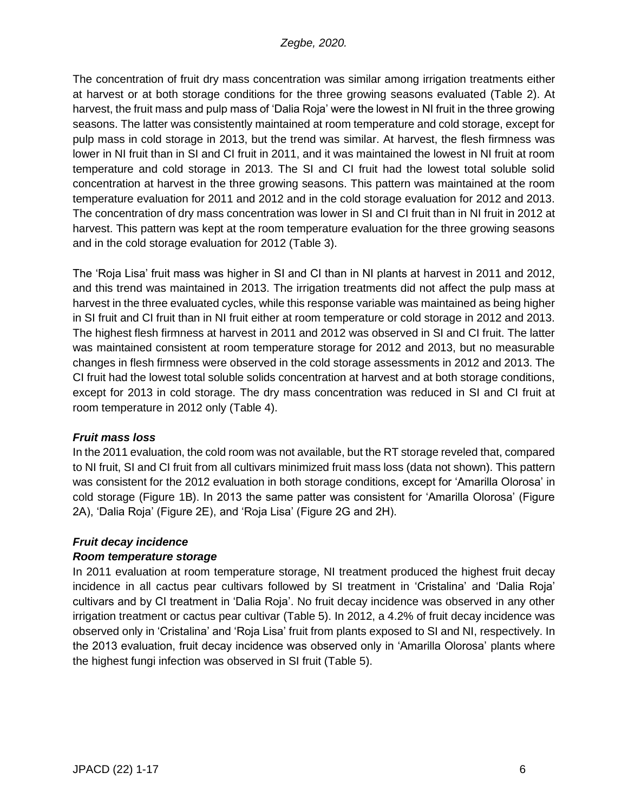The concentration of fruit dry mass concentration was similar among irrigation treatments either at harvest or at both storage conditions for the three growing seasons evaluated (Table 2). At harvest, the fruit mass and pulp mass of 'Dalia Roja' were the lowest in NI fruit in the three growing seasons. The latter was consistently maintained at room temperature and cold storage, except for pulp mass in cold storage in 2013, but the trend was similar. At harvest, the flesh firmness was lower in NI fruit than in SI and CI fruit in 2011, and it was maintained the lowest in NI fruit at room temperature and cold storage in 2013. The SI and CI fruit had the lowest total soluble solid concentration at harvest in the three growing seasons. This pattern was maintained at the room temperature evaluation for 2011 and 2012 and in the cold storage evaluation for 2012 and 2013. The concentration of dry mass concentration was lower in SI and CI fruit than in NI fruit in 2012 at harvest. This pattern was kept at the room temperature evaluation for the three growing seasons and in the cold storage evaluation for 2012 (Table 3).

The 'Roja Lisa' fruit mass was higher in SI and CI than in NI plants at harvest in 2011 and 2012, and this trend was maintained in 2013. The irrigation treatments did not affect the pulp mass at harvest in the three evaluated cycles, while this response variable was maintained as being higher in SI fruit and CI fruit than in NI fruit either at room temperature or cold storage in 2012 and 2013. The highest flesh firmness at harvest in 2011 and 2012 was observed in SI and CI fruit. The latter was maintained consistent at room temperature storage for 2012 and 2013, but no measurable changes in flesh firmness were observed in the cold storage assessments in 2012 and 2013. The CI fruit had the lowest total soluble solids concentration at harvest and at both storage conditions, except for 2013 in cold storage. The dry mass concentration was reduced in SI and CI fruit at room temperature in 2012 only (Table 4).

## *Fruit mass loss*

In the 2011 evaluation, the cold room was not available, but the RT storage reveled that, compared to NI fruit, SI and CI fruit from all cultivars minimized fruit mass loss (data not shown). This pattern was consistent for the 2012 evaluation in both storage conditions, except for 'Amarilla Olorosa' in cold storage (Figure 1B). In 2013 the same patter was consistent for 'Amarilla Olorosa' (Figure 2A), 'Dalia Roja' (Figure 2E), and 'Roja Lisa' (Figure 2G and 2H).

## *Fruit decay incidence*

## *Room temperature storage*

In 2011 evaluation at room temperature storage, NI treatment produced the highest fruit decay incidence in all cactus pear cultivars followed by SI treatment in 'Cristalina' and 'Dalia Roja' cultivars and by CI treatment in 'Dalia Roja'. No fruit decay incidence was observed in any other irrigation treatment or cactus pear cultivar (Table 5). In 2012, a 4.2% of fruit decay incidence was observed only in 'Cristalina' and 'Roja Lisa' fruit from plants exposed to SI and NI, respectively. In the 2013 evaluation, fruit decay incidence was observed only in 'Amarilla Olorosa' plants where the highest fungi infection was observed in SI fruit (Table 5).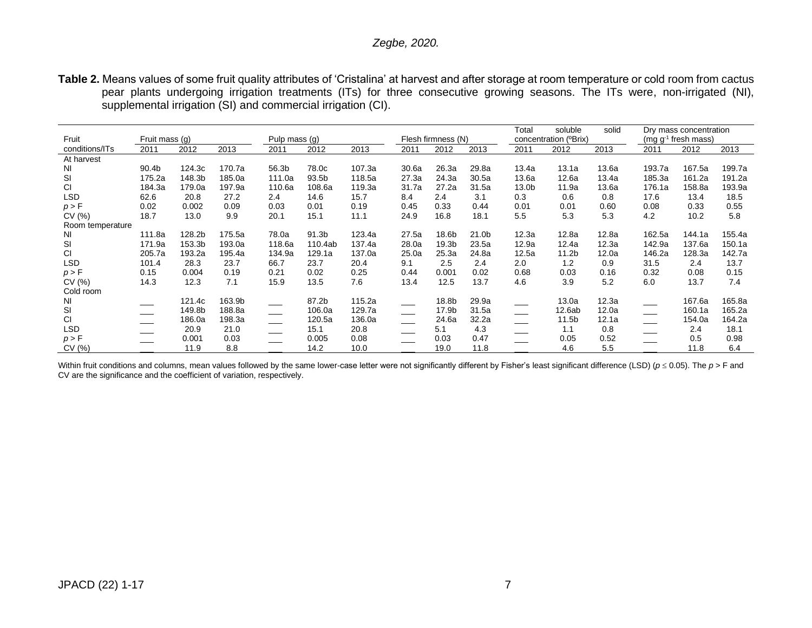|  |  |                                                              |  |  |  |  | Table 2. Means values of some fruit quality attributes of 'Cristalina' at harvest and after storage at room temperature or cold room from cactus |  |
|--|--|--------------------------------------------------------------|--|--|--|--|--------------------------------------------------------------------------------------------------------------------------------------------------|--|
|  |  |                                                              |  |  |  |  | pear plants undergoing irrigation treatments (ITs) for three consecutive growing seasons. The ITs were, non-irrigated (NI),                      |  |
|  |  | supplemental irrigation (SI) and commercial irrigation (CI). |  |  |  |  |                                                                                                                                                  |  |

|                  | Pulp mass (g)<br>Fruit mass (g) |        |        |                          | Flesh firmness (N) |        |                          | Total | soluble<br>solid<br>concentration (°Brix) |                          |        | Dry mass concentration<br>(mg $g^{-1}$ fresh mass) |                          |        |        |
|------------------|---------------------------------|--------|--------|--------------------------|--------------------|--------|--------------------------|-------|-------------------------------------------|--------------------------|--------|----------------------------------------------------|--------------------------|--------|--------|
| Fruit            |                                 |        |        |                          |                    |        |                          |       |                                           |                          |        |                                                    |                          |        |        |
| conditions/ITs   | 2011                            | 2012   | 2013   | 2011                     | 2012               | 2013   | 2011                     | 2012  | 2013                                      | 2011                     | 2012   | 2013                                               | 2011                     | 2012   | 2013   |
| At harvest       |                                 |        |        |                          |                    |        |                          |       |                                           |                          |        |                                                    |                          |        |        |
| ΝI               | 90.4b                           | 124.3c | 170.7a | 56.3b                    | 78.0c              | 107.3a | 30.6a                    | 26.3a | 29.8a                                     | 13.4a                    | 13.1a  | 13.6a                                              | 193.7a                   | 167.5a | 199.7a |
| SI               | 175.2a                          | 148.3b | 185.0a | 111.0a                   | 93.5b              | 118.5a | 27.3a                    | 24.3a | 30.5a                                     | 13.6a                    | 12.6a  | 13.4a                                              | 185.3a                   | 161.2a | 191.2a |
| СI               | 184.3a                          | 179.0a | 197.9a | 110.6a                   | 108.6a             | 119.3a | 31.7a                    | 27.2a | 31.5a                                     | 13.0b                    | 11.9a  | 13.6a                                              | 176.1a                   | 158.8a | 193.9a |
| <b>LSD</b>       | 62.6                            | 20.8   | 27.2   | 2.4                      | 14.6               | 15.7   | 8.4                      | 2.4   | 3.1                                       | 0.3                      | 0.6    | 0.8                                                | 17.6                     | 13.4   | 18.5   |
| p > F            | 0.02                            | 0.002  | 0.09   | 0.03                     | 0.01               | 0.19   | 0.45                     | 0.33  | 0.44                                      | 0.01                     | 0.01   | 0.60                                               | 0.08                     | 0.33   | 0.55   |
| CV(% )           | 18.7                            | 13.0   | 9.9    | 20.1                     | 15.1               | 11.1   | 24.9                     | 16.8  | 18.1                                      | 5.5                      | 5.3    | 5.3                                                | 4.2                      | 10.2   | 5.8    |
| Room temperature |                                 |        |        |                          |                    |        |                          |       |                                           |                          |        |                                                    |                          |        |        |
| NI               | 111.8a                          | 128.2b | 175.5a | 78.0a                    | 91.3b              | 123.4a | 27.5a                    | 18.6b | 21.0b                                     | 12.3a                    | 12.8a  | 12.8a                                              | 162.5a                   | 144.1a | 155.4a |
| SI               | 171.9a                          | 153.3b | 193.0a | 118.6a                   | 110.4ab            | 137.4a | 28.0a                    | 19.3b | 23.5a                                     | 12.9a                    | 12.4a  | 12.3a                                              | 142.9a                   | 137.6a | 150.1a |
| СI               | 205.7a                          | 193.2a | 195.4a | 134.9a                   | 129.1a             | 137.0a | 25.0a                    | 25.3a | 24.8a                                     | 12.5a                    | 11.2b  | 12.0a                                              | 146.2a                   | 128.3a | 142.7a |
| <b>LSD</b>       | 101.4                           | 28.3   | 23.7   | 66.7                     | 23.7               | 20.4   | 9.1                      | 2.5   | 2.4                                       | 2.0                      | 1.2    | 0.9                                                | 31.5                     | 2.4    | 13.7   |
| p > F            | 0.15                            | 0.004  | 0.19   | 0.21                     | 0.02               | 0.25   | 0.44                     | 0.001 | 0.02                                      | 0.68                     | 0.03   | 0.16                                               | 0.32                     | 0.08   | 0.15   |
| CV(%)            | 14.3                            | 12.3   | 7.1    | 15.9                     | 13.5               | 7.6    | 13.4                     | 12.5  | 13.7                                      | 4.6                      | 3.9    | 5.2                                                | 6.0                      | 13.7   | 7.4    |
| Cold room        |                                 |        |        |                          |                    |        |                          |       |                                           |                          |        |                                                    |                          |        |        |
| NI               |                                 | 121.4c | 163.9b | $\overline{\phantom{a}}$ | 87.2b              | 115.2a |                          | 18.8b | 29.9a                                     |                          | 13.0a  | 12.3a                                              |                          | 167.6a | 165.8a |
| SI               |                                 | 149.8b | 188.8a |                          | 106.0a             | 129.7a |                          | 17.9b | 31.5a                                     |                          | 12.6ab | 12.0a                                              |                          | 160.1a | 165.2a |
| <b>CI</b>        | $\overbrace{\hspace{25mm}}^{}$  | 186.0a | 198.3a |                          | 120.5a             | 136.0a | $\overline{\phantom{a}}$ | 24.6a | 32.2a                                     | $\overline{\phantom{a}}$ | 11.5b  | 12.1a                                              |                          | 154.0a | 164.2a |
| <b>LSD</b>       |                                 | 20.9   | 21.0   |                          | 15.1               | 20.8   |                          | 5.1   | 4.3                                       | ___                      | 1.1    | 0.8                                                | $\overline{\phantom{a}}$ | 2.4    | 18.1   |
| p > F            |                                 | 0.001  | 0.03   |                          | 0.005              | 0.08   |                          | 0.03  | 0.47                                      |                          | 0.05   | 0.52                                               |                          | 0.5    | 0.98   |
| CV(%)            |                                 | 11.9   | 8.8    |                          | 14.2               | 10.0   |                          | 19.0  | 11.8                                      |                          | 4.6    | 5.5                                                |                          | 11.8   | 6.4    |

Within fruit conditions and columns, mean values followed by the same lower-case letter were not significantly different by Fisher's least significant difference (LSD) (*p* ≤ 0.05). The *p* > F and CV are the significance and the coefficient of variation, respectively.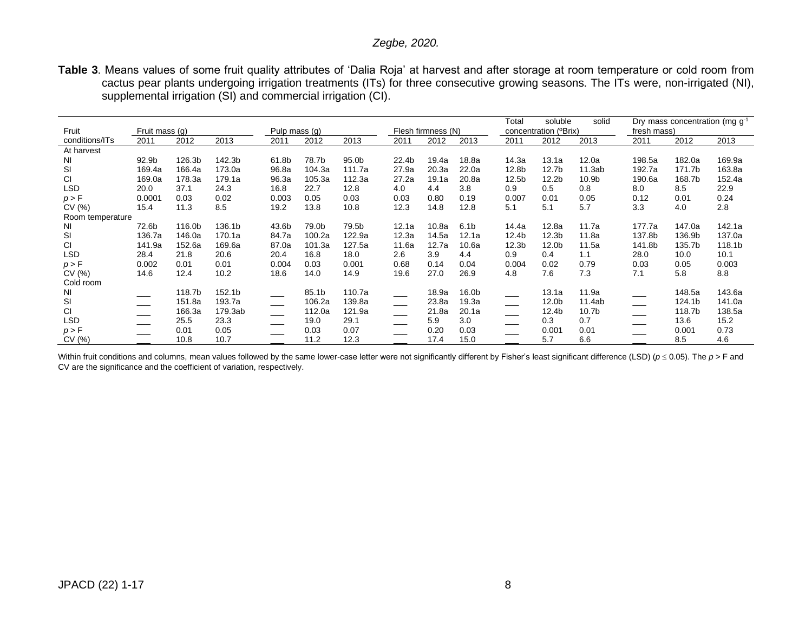**Table 3**. Means values of some fruit quality attributes of 'Dalia Roja' at harvest and after storage at room temperature or cold room from cactus pear plants undergoing irrigation treatments (ITs) for three consecutive growing seasons. The ITs were, non-irrigated (NI), supplemental irrigation (SI) and commercial irrigation (CI).

| Fruit            | Fruit mass (g) |        |         | Pulp mass (g) |        |        | Flesh firmness (N) |       |                   | Total<br>solid<br>soluble<br>concentration (°Brix) |                   |                   | Dry mass concentration (mg $q^{-1}$<br>fresh mass) |        |        |
|------------------|----------------|--------|---------|---------------|--------|--------|--------------------|-------|-------------------|----------------------------------------------------|-------------------|-------------------|----------------------------------------------------|--------|--------|
| conditions/ITs   | 2011           | 2012   | 2013    | 2011          | 2012   | 2013   | 2011               | 2012  | 2013              | 2011                                               | 2012              | 2013              | 2011                                               | 2012   | 2013   |
| At harvest       |                |        |         |               |        |        |                    |       |                   |                                                    |                   |                   |                                                    |        |        |
| NI.              | 92.9b          | 126.3b | 142.3b  | 61.8b         | 78.7b  | 95.0b  | 22.4b              | 19.4a | 18.8a             | 14.3a                                              | 13.1a             | 12.0a             | 198.5a                                             | 182.0a | 169.9a |
| SI               | 169.4a         | 166.4a | 173.0a  | 96.8a         | 104.3a | 111.7a | 27.9a              | 20.3a | 22.0a             | 12.8b                                              | 12.7 <sub>b</sub> | 11.3ab            | 192.7a                                             | 171.7b | 163.8a |
| CI.              | 169.0a         | 178.3a | 179.1a  | 96.3a         | 105.3a | 112.3a | 27.2a              | 19.1a | 20.8a             | 12.5 <sub>b</sub>                                  | 12.2 <sub>b</sub> | 10.9b             | 190.6a                                             | 168.7b | 152.4a |
| <b>LSD</b>       | 20.0           | 37.1   | 24.3    | 16.8          | 22.7   | 12.8   | 4.0                | 4.4   | 3.8               | 0.9                                                | 0.5               | 0.8               | 8.0                                                | 8.5    | 22.9   |
| p > F            | 0.0001         | 0.03   | 0.02    | 0.003         | 0.05   | 0.03   | 0.03               | 0.80  | 0.19              | 0.007                                              | 0.01              | 0.05              | 0.12                                               | 0.01   | 0.24   |
| CV(%)            | 15.4           | 11.3   | 8.5     | 19.2          | 13.8   | 10.8   | 12.3               | 14.8  | 12.8              | 5.1                                                | 5.1               | 5.7               | 3.3                                                | 4.0    | 2.8    |
| Room temperature |                |        |         |               |        |        |                    |       |                   |                                                    |                   |                   |                                                    |        |        |
| ΝI               | 72.6b          | 116.0b | 136.1b  | 43.6b         | 79.0b  | 79.5b  | 12.1a              | 10.8a | 6.1 <sub>b</sub>  | 14.4a                                              | 12.8a             | 11.7a             | 177.7a                                             | 147.0a | 142.1a |
| <b>SI</b>        | 136.7a         | 146.0a | 170.1a  | 84.7a         | 100.2a | 122.9a | 12.3a              | 14.5a | 12.1a             | 12.4b                                              | 12.3 <sub>b</sub> | 11.8a             | 137.8b                                             | 136.9b | 137.0a |
| <b>CI</b>        | 141.9a         | 152.6a | 169.6a  | 87.0a         | 101.3a | 127.5a | 11.6a              | 12.7a | 10.6a             | 12.3 <sub>b</sub>                                  | 12.0 <sub>b</sub> | 11.5a             | 141.8b                                             | 135.7b | 118.1b |
| <b>LSD</b>       | 28.4           | 21.8   | 20.6    | 20.4          | 16.8   | 18.0   | 2.6                | 3.9   | 4.4               | 0.9                                                | 0.4               | 1.1               | 28.0                                               | 10.0   | 10.1   |
| p > F            | 0.002          | 0.01   | 0.01    | 0.004         | 0.03   | 0.001  | 0.68               | 0.14  | 0.04              | 0.004                                              | 0.02              | 0.79              | 0.03                                               | 0.05   | 0.003  |
| CV(%)            | 14.6           | 12.4   | 10.2    | 18.6          | 14.0   | 14.9   | 19.6               | 27.0  | 26.9              | 4.8                                                | 7.6               | 7.3               | 7.1                                                | 5.8    | 8.8    |
| Cold room        |                |        |         |               |        |        |                    |       |                   |                                                    |                   |                   |                                                    |        |        |
| ΝI               |                | 118.7b | 152.1b  |               | 85.1b  | 110.7a |                    | 18.9a | 16.0 <sub>b</sub> |                                                    | 13.1a             | 11.9a             |                                                    | 148.5a | 143.6a |
| <b>SI</b>        | $\frac{1}{2}$  | 151.8a | 193.7a  |               | 106.2a | 139.8a |                    | 23.8a | 19.3a             |                                                    | 12.0 <sub>b</sub> | 11.4ab            |                                                    | 124.1b | 141.0a |
| <b>CI</b>        |                | 166.3a | 179.3ab |               | 112.0a | 121.9a |                    | 21.8a | 20.1a             |                                                    | 12.4b             | 10.7 <sub>b</sub> | $\overline{\phantom{a}}$                           | 118.7b | 138.5a |
| <b>LSD</b>       |                | 25.5   | 23.3    |               | 19.0   | 29.1   |                    | 5.9   | 3.0               |                                                    | 0.3               | 0.7               |                                                    | 13.6   | 15.2   |
| p > F            |                | 0.01   | 0.05    | $\sim$        | 0.03   | 0.07   |                    | 0.20  | 0.03              | $\overline{\phantom{a}}$                           | 0.001             | 0.01              |                                                    | 0.001  | 0.73   |
| CV(%)            |                | 10.8   | 10.7    |               | 11.2   | 12.3   |                    | 17.4  | 15.0              |                                                    | 5.7               | 6.6               |                                                    | 8.5    | 4.6    |

Within fruit conditions and columns, mean values followed by the same lower-case letter were not significantly different by Fisher's least significant difference (LSD) ( $p \le 0.05$ ). The  $p > F$  and CV are the significance and the coefficient of variation, respectively.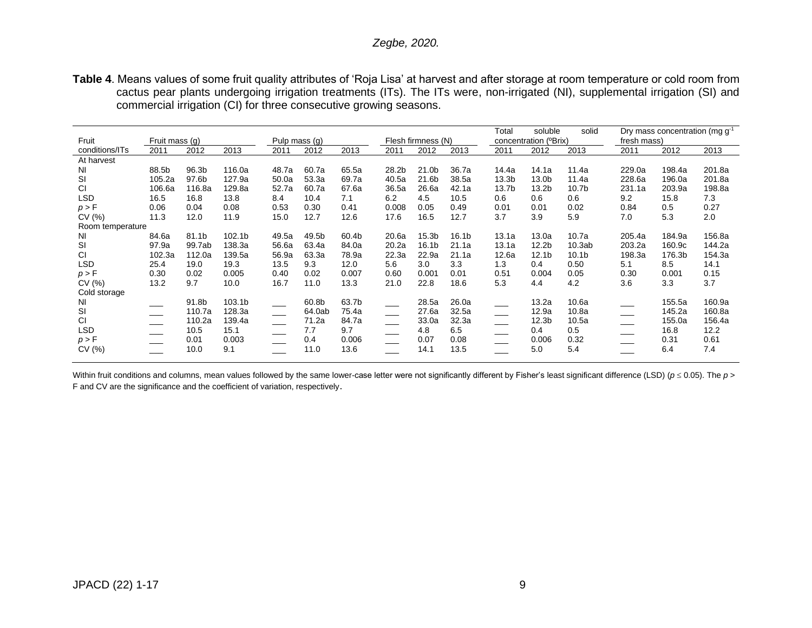**Table 4**. Means values of some fruit quality attributes of 'Roja Lisa' at harvest and after storage at room temperature or cold room from cactus pear plants undergoing irrigation treatments (ITs). The ITs were, non-irrigated (NI), supplemental irrigation (SI) and commercial irrigation (CI) for three consecutive growing seasons.

|                  |                |        |                    |                          |        |       |                    |                   |                   | Total             | soluble               | solid             |             | Dry mass concentration (mg g <sup>-1</sup> |        |
|------------------|----------------|--------|--------------------|--------------------------|--------|-------|--------------------|-------------------|-------------------|-------------------|-----------------------|-------------------|-------------|--------------------------------------------|--------|
| Fruit            | Fruit mass (g) |        |                    | Pulp mass (g)            |        |       | Flesh firmness (N) |                   |                   |                   | concentration (°Brix) |                   | fresh mass) |                                            |        |
| conditions/ITs   | 2011           | 2012   | 2013               | 2011                     | 2012   | 2013  | 2011               | 2012              | 2013              | 2011              | 2012                  | 2013              | 2011        | 2012                                       | 2013   |
| At harvest       |                |        |                    |                          |        |       |                    |                   |                   |                   |                       |                   |             |                                            |        |
| ΝI               | 88.5b          | 96.3b  | 116.0a             | 48.7a                    | 60.7a  | 65.5a | 28.2b              | 21.0b             | 36.7a             | 14.4a             | 14.1a                 | 11.4a             | 229.0a      | 198.4a                                     | 201.8a |
| SI               | 105.2a         | 97.6b  | 127.9a             | 50.0a                    | 53.3a  | 69.7a | 40.5a              | 21.6b             | 38.5a             | 13.3 <sub>b</sub> | 13.0b                 | 11.4a             | 228.6a      | 196.0a                                     | 201.8a |
| <b>CI</b>        | 106.6a         | 116.8a | 129.8a             | 52.7a                    | 60.7a  | 67.6a | 36.5a              | 26.6a             | 42.1a             | 13.7 <sub>b</sub> | 13.2 <sub>b</sub>     | 10.7 <sub>b</sub> | 231.1a      | 203.9a                                     | 198.8a |
| <b>LSD</b>       | 16.5           | 16.8   | 13.8               | 8.4                      | 10.4   | 7.1   | 6.2                | 4.5               | 10.5              | 0.6               | 0.6                   | 0.6               | 9.2         | 15.8                                       | 7.3    |
| p > F            | 0.06           | 0.04   | 0.08               | 0.53                     | 0.30   | 0.41  | 0.008              | 0.05              | 0.49              | 0.01              | 0.01                  | 0.02              | 0.84        | 0.5                                        | 0.27   |
| CV(%)            | 11.3           | 12.0   | 11.9               | 15.0                     | 12.7   | 12.6  | 17.6               | 16.5              | 12.7              | 3.7               | 3.9                   | 5.9               | 7.0         | 5.3                                        | 2.0    |
| Room temperature |                |        |                    |                          |        |       |                    |                   |                   |                   |                       |                   |             |                                            |        |
| ΝI               | 84.6a          | 81.1b  | 102.1 <sub>b</sub> | 49.5a                    | 49.5b  | 60.4b | 20.6a              | 15.3 <sub>b</sub> | 16.1 <sub>b</sub> | 13.1a             | 13.0a                 | 10.7a             | 205.4a      | 184.9a                                     | 156.8a |
| SI               | 97.9a          | 99.7ab | 138.3a             | 56.6a                    | 63.4a  | 84.0a | 20.2a              | 16.1 <sub>b</sub> | 21.1a             | 13.1a             | 12.2 <sub>b</sub>     | 10.3ab            | 203.2a      | 160.9c                                     | 144.2a |
| <b>CI</b>        | 102.3a         | 112.0a | 139.5a             | 56.9a                    | 63.3a  | 78.9a | 22.3a              | 22.9a             | 21.1a             | 12.6a             | 12.1 <sub>b</sub>     | 10.1 <sub>b</sub> | 198.3a      | 176.3b                                     | 154.3a |
| <b>LSD</b>       | 25.4           | 19.0   | 19.3               | 13.5                     | 9.3    | 12.0  | 5.6                | 3.0               | 3.3               | 1.3               | 0.4                   | 0.50              | 5.1         | 8.5                                        | 14.1   |
| p > F            | 0.30           | 0.02   | 0.005              | 0.40                     | 0.02   | 0.007 | 0.60               | 0.001             | 0.01              | 0.51              | 0.004                 | 0.05              | 0.30        | 0.001                                      | 0.15   |
| CV(%)            | 13.2           | 9.7    | 10.0               | 16.7                     | 11.0   | 13.3  | 21.0               | 22.8              | 18.6              | 5.3               | 4.4                   | 4.2               | 3.6         | 3.3                                        | 3.7    |
| Cold storage     |                |        |                    |                          |        |       |                    |                   |                   |                   |                       |                   |             |                                            |        |
| NI               |                | 91.8b  | 103.1 <sub>b</sub> |                          | 60.8b  | 63.7b |                    | 28.5a             | 26.0a             |                   | 13.2a                 | 10.6a             |             | 155.5a                                     | 160.9a |
| <b>SI</b>        |                | 110.7a | 128.3a             |                          | 64.0ab | 75.4a |                    | 27.6a             | 32.5a             |                   | 12.9a                 | 10.8a             |             | 145.2a                                     | 160.8a |
| <b>CI</b>        |                | 110.2a | 139.4a             |                          | 71.2a  | 84.7a |                    | 33.0a             | 32.3a             |                   | 12.3 <sub>b</sub>     | 10.5a             |             | 155.0a                                     | 156.4a |
| <b>LSD</b>       |                | 10.5   | 15.1               | $\overline{\phantom{a}}$ | 7.7    | 9.7   |                    | 4.8               | 6.5               |                   | 0.4                   | 0.5               |             | 16.8                                       | 12.2   |
| p > F            |                | 0.01   | 0.003              |                          | 0.4    | 0.006 |                    | 0.07              | 0.08              |                   | 0.006                 | 0.32              |             | 0.31                                       | 0.61   |
| CV(%)            |                | 10.0   | 9.1                |                          | 11.0   | 13.6  |                    | 14.1              | 13.5              |                   | 5.0                   | 5.4               |             | 6.4                                        | 7.4    |

Within fruit conditions and columns, mean values followed by the same lower-case letter were not significantly different by Fisher's least significant difference (LSD) ( $p \le 0.05$ ). The  $p >$ F and CV are the significance and the coefficient of variation, respectively.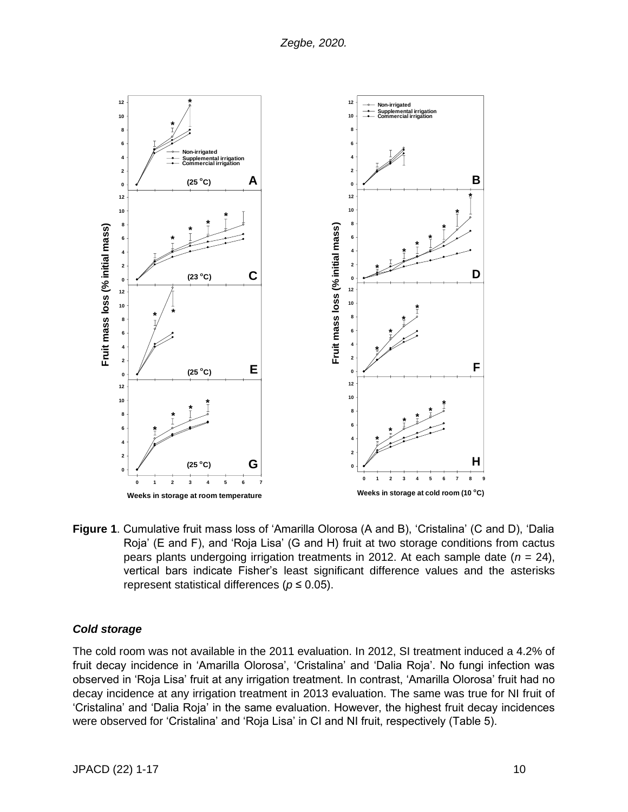

**Figure 1**. Cumulative fruit mass loss of 'Amarilla Olorosa (A and B), 'Cristalina' (C and D), 'Dalia Roja' (E and F), and 'Roja Lisa' (G and H) fruit at two storage conditions from cactus pears plants undergoing irrigation treatments in 2012. At each sample date (*n* = 24), vertical bars indicate Fisher's least significant difference values and the asterisks represent statistical differences (*p* ≤ 0.05).

#### *Cold storage*

The cold room was not available in the 2011 evaluation. In 2012, SI treatment induced a 4.2% of fruit decay incidence in 'Amarilla Olorosa', 'Cristalina' and 'Dalia Roja'. No fungi infection was observed in 'Roja Lisa' fruit at any irrigation treatment. In contrast, 'Amarilla Olorosa' fruit had no decay incidence at any irrigation treatment in 2013 evaluation. The same was true for NI fruit of 'Cristalina' and 'Dalia Roja' in the same evaluation. However, the highest fruit decay incidences were observed for 'Cristalina' and 'Roja Lisa' in CI and NI fruit, respectively (Table 5).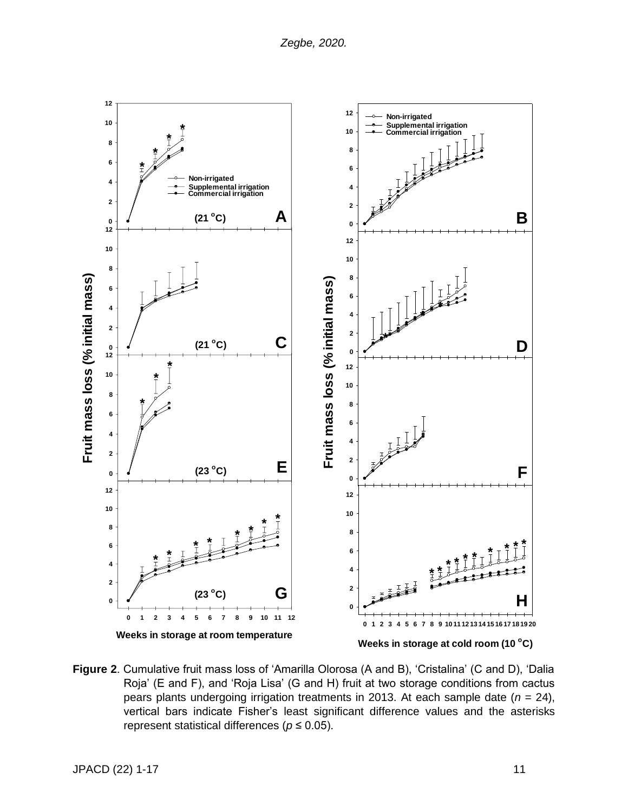

**Figure 2**. Cumulative fruit mass loss of 'Amarilla Olorosa (A and B), 'Cristalina' (C and D), 'Dalia Roja' (E and F), and 'Roja Lisa' (G and H) fruit at two storage conditions from cactus pears plants undergoing irrigation treatments in 2013. At each sample date (*n* = 24), vertical bars indicate Fisher's least significant difference values and the asterisks represent statistical differences (*p* ≤ 0.05).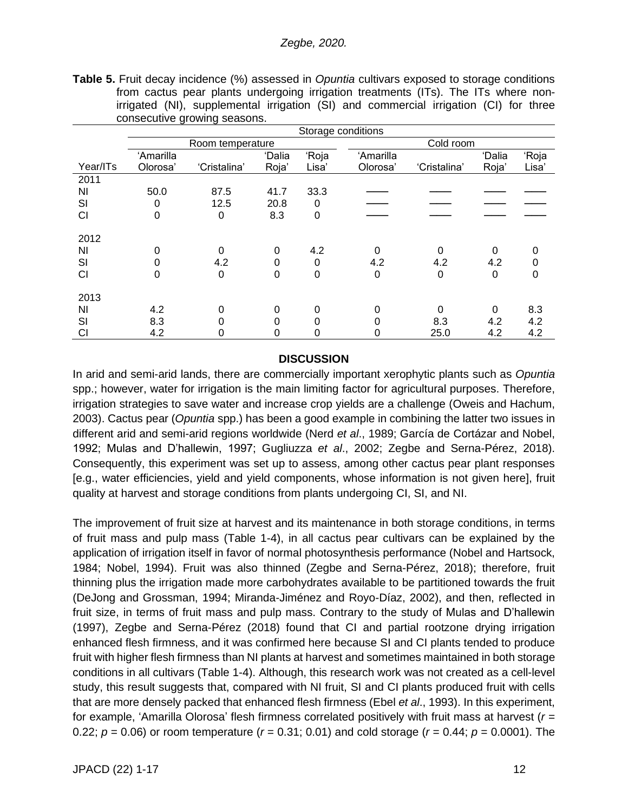| <b>Table 5.</b> Fruit decay incidence (%) assessed in <i>Opuntia</i> cultivars exposed to storage conditions |
|--------------------------------------------------------------------------------------------------------------|
| from cactus pear plants undergoing irrigation treatments (ITs). The ITs where non-                           |
| irrigated (NI), supplemental irrigation (SI) and commercial irrigation (CI) for three                        |
| consecutive growing seasons.                                                                                 |

|                | Storage conditions |                  |        |             |           |              |          |       |  |  |  |  |  |  |
|----------------|--------------------|------------------|--------|-------------|-----------|--------------|----------|-------|--|--|--|--|--|--|
|                |                    | Room temperature |        |             | Cold room |              |          |       |  |  |  |  |  |  |
|                | 'Amarilla          |                  | 'Dalia | 'Roja       | 'Amarilla |              |          |       |  |  |  |  |  |  |
| Year/ITs       | Olorosa'           | 'Cristalina'     | Roja'  | Lisa'       | Olorosa'  | 'Cristalina' | Roja'    | Lisa' |  |  |  |  |  |  |
| 2011           |                    |                  |        |             |           |              |          |       |  |  |  |  |  |  |
| ΝI             | 50.0               | 87.5             | 41.7   | 33.3        |           |              |          |       |  |  |  |  |  |  |
| SI             | 0                  | 12.5             | 20.8   | 0           |           |              |          |       |  |  |  |  |  |  |
| CI             | $\mathbf 0$        | 0                | 8.3    | $\mathbf 0$ |           |              |          |       |  |  |  |  |  |  |
|                |                    |                  |        |             |           |              |          |       |  |  |  |  |  |  |
| 2012           |                    |                  |        |             |           |              |          |       |  |  |  |  |  |  |
| ΝI             | 0                  | $\Omega$         | 0      | 4.2         | $\Omega$  | $\Omega$     | $\Omega$ | 0     |  |  |  |  |  |  |
| SI             | 0                  | 4.2              | 0      | 0           | 4.2       | 4.2          | 4.2      |       |  |  |  |  |  |  |
| CI             | 0                  | 0                | 0      | 0           | 0         | 0            | 0        | 0     |  |  |  |  |  |  |
|                |                    |                  |        |             |           |              |          |       |  |  |  |  |  |  |
| 2013           |                    |                  |        |             |           |              |          |       |  |  |  |  |  |  |
| N <sub>l</sub> | 4.2                | 0                | 0      | 0           | 0         | 0            | $\Omega$ | 8.3   |  |  |  |  |  |  |
| SI             | 8.3                | 0                | 0      | 0           | 0         | 8.3          | 4.2      | 4.2   |  |  |  |  |  |  |
| CI             | 4.2                | O                | 0      | 0           | 0         | 25.0         | 4.2      | 4.2   |  |  |  |  |  |  |

## **DISCUSSION**

In arid and semi-arid lands, there are commercially important xerophytic plants such as *Opuntia* spp.; however, water for irrigation is the main limiting factor for agricultural purposes. Therefore, irrigation strategies to save water and increase crop yields are a challenge (Oweis and Hachum, 2003). Cactus pear (*Opuntia* spp.) has been a good example in combining the latter two issues in different arid and semi-arid regions worldwide (Nerd *et al*., 1989; García de Cortázar and Nobel, 1992; Mulas and D'hallewin, 1997; Gugliuzza *et al*., 2002; Zegbe and Serna-Pérez, 2018). Consequently, this experiment was set up to assess, among other cactus pear plant responses [e.g., water efficiencies, yield and yield components, whose information is not given here], fruit quality at harvest and storage conditions from plants undergoing CI, SI, and NI.

The improvement of fruit size at harvest and its maintenance in both storage conditions, in terms of fruit mass and pulp mass (Table 1-4), in all cactus pear cultivars can be explained by the application of irrigation itself in favor of normal photosynthesis performance (Nobel and Hartsock, 1984; Nobel, 1994). Fruit was also thinned (Zegbe and Serna-Pérez, 2018); therefore, fruit thinning plus the irrigation made more carbohydrates available to be partitioned towards the fruit (DeJong and Grossman, 1994; Miranda-Jiménez and Royo-Díaz, 2002), and then, reflected in fruit size, in terms of fruit mass and pulp mass. Contrary to the study of Mulas and D'hallewin (1997), Zegbe and Serna-Pérez (2018) found that CI and partial rootzone drying irrigation enhanced flesh firmness, and it was confirmed here because SI and CI plants tended to produce fruit with higher flesh firmness than NI plants at harvest and sometimes maintained in both storage conditions in all cultivars (Table 1-4). Although, this research work was not created as a cell-level study, this result suggests that, compared with NI fruit, SI and CI plants produced fruit with cells that are more densely packed that enhanced flesh firmness (Ebel *et al*., 1993). In this experiment, for example, 'Amarilla Olorosa' flesh firmness correlated positively with fruit mass at harvest (*r* = 0.22;  $p = 0.06$ ) or room temperature ( $r = 0.31$ ; 0.01) and cold storage ( $r = 0.44$ ;  $p = 0.0001$ ). The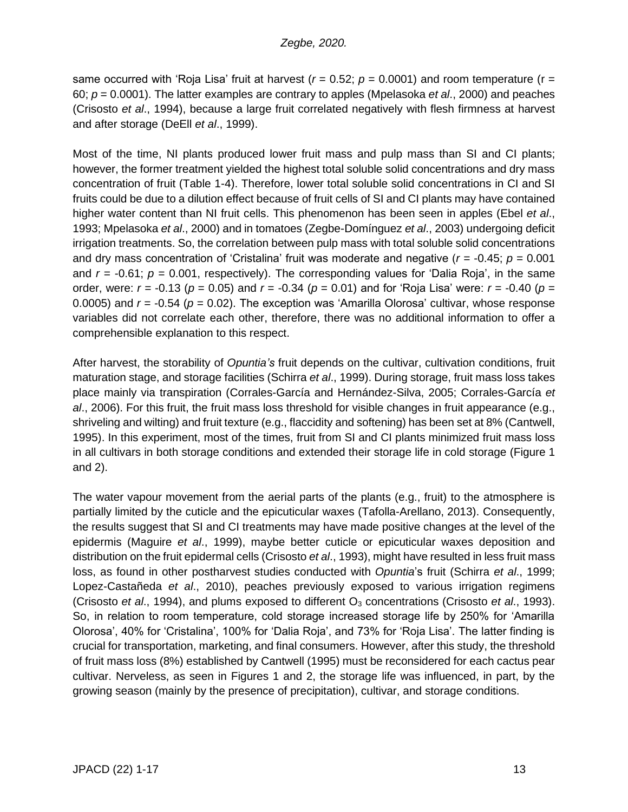same occurred with 'Roja Lisa' fruit at harvest ( $r = 0.52$ ;  $p = 0.0001$ ) and room temperature ( $r =$ 60; *p* = 0.0001). The latter examples are contrary to apples (Mpelasoka *et al*., 2000) and peaches (Crisosto *et al*., 1994), because a large fruit correlated negatively with flesh firmness at harvest and after storage (DeEll *et al*., 1999).

Most of the time, NI plants produced lower fruit mass and pulp mass than SI and CI plants; however, the former treatment yielded the highest total soluble solid concentrations and dry mass concentration of fruit (Table 1-4). Therefore, lower total soluble solid concentrations in CI and SI fruits could be due to a dilution effect because of fruit cells of SI and CI plants may have contained higher water content than NI fruit cells. This phenomenon has been seen in apples (Ebel *et al*., 1993; Mpelasoka *et al*., 2000) and in tomatoes (Zegbe-Domínguez *et al*., 2003) undergoing deficit irrigation treatments. So, the correlation between pulp mass with total soluble solid concentrations and dry mass concentration of 'Cristalina' fruit was moderate and negative (*r* = -0.45; *p* = 0.001 and *r* = -0.61; *p* = 0.001, respectively). The corresponding values for 'Dalia Roja', in the same order, were: *r* = -0.13 (*p* = 0.05) and *r* = -0.34 (*p* = 0.01) and for 'Roja Lisa' were: *r* = -0.40 (*p* = 0.0005) and  $r = -0.54$  ( $p = 0.02$ ). The exception was 'Amarilla Olorosa' cultivar, whose response variables did not correlate each other, therefore, there was no additional information to offer a comprehensible explanation to this respect.

After harvest, the storability of *Opuntia's* fruit depends on the cultivar, cultivation conditions, fruit maturation stage, and storage facilities (Schirra *et al*., 1999). During storage, fruit mass loss takes place mainly via transpiration (Corrales-García and Hernández-Silva, 2005; Corrales-García *et al*., 2006). For this fruit, the fruit mass loss threshold for visible changes in fruit appearance (e.g., shriveling and wilting) and fruit texture (e.g., flaccidity and softening) has been set at 8% (Cantwell, 1995). In this experiment, most of the times, fruit from SI and CI plants minimized fruit mass loss in all cultivars in both storage conditions and extended their storage life in cold storage (Figure 1 and 2).

The water vapour movement from the aerial parts of the plants (e.g., fruit) to the atmosphere is partially limited by the cuticle and the epicuticular waxes (Tafolla-Arellano, 2013). Consequently, the results suggest that SI and CI treatments may have made positive changes at the level of the epidermis (Maguire *et al*., 1999), maybe better cuticle or epicuticular waxes deposition and distribution on the fruit epidermal cells (Crisosto *et al*., 1993), might have resulted in less fruit mass loss, as found in other postharvest studies conducted with *Opuntia*'s fruit (Schirra *et al*., 1999; Lopez-Castañeda *et al*., 2010), peaches previously exposed to various irrigation regimens (Crisosto *et al.*, 1994), and plums exposed to different O<sub>3</sub> concentrations (Crisosto *et al.*, 1993). So, in relation to room temperature, cold storage increased storage life by 250% for 'Amarilla Olorosa', 40% for 'Cristalina', 100% for 'Dalia Roja', and 73% for 'Roja Lisa'. The latter finding is crucial for transportation, marketing, and final consumers. However, after this study, the threshold of fruit mass loss (8%) established by Cantwell (1995) must be reconsidered for each cactus pear cultivar. Nerveless, as seen in Figures 1 and 2, the storage life was influenced, in part, by the growing season (mainly by the presence of precipitation), cultivar, and storage conditions.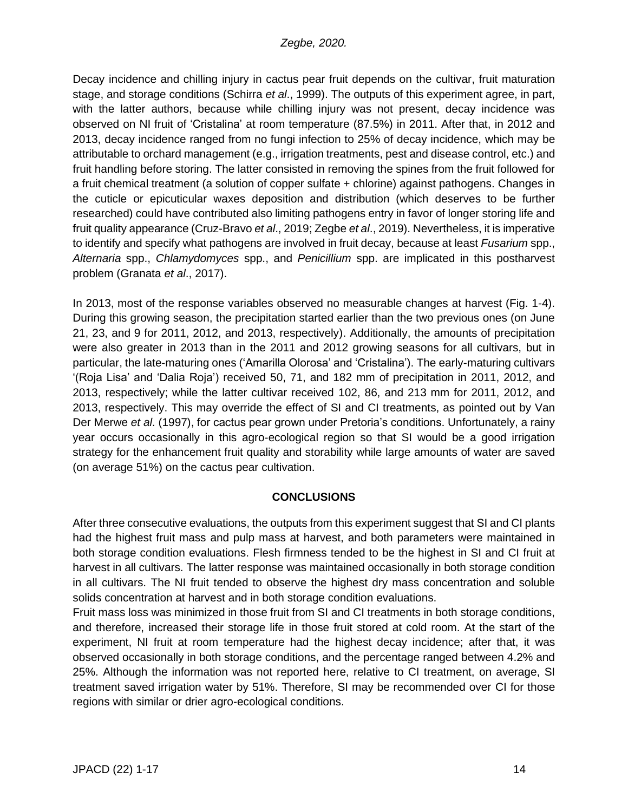Decay incidence and chilling injury in cactus pear fruit depends on the cultivar, fruit maturation stage, and storage conditions (Schirra *et al*., 1999). The outputs of this experiment agree, in part, with the latter authors, because while chilling injury was not present, decay incidence was observed on NI fruit of 'Cristalina' at room temperature (87.5%) in 2011. After that, in 2012 and 2013, decay incidence ranged from no fungi infection to 25% of decay incidence, which may be attributable to orchard management (e.g., irrigation treatments, pest and disease control, etc.) and fruit handling before storing. The latter consisted in removing the spines from the fruit followed for a fruit chemical treatment (a solution of copper sulfate + chlorine) against pathogens. Changes in the cuticle or epicuticular waxes deposition and distribution (which deserves to be further researched) could have contributed also limiting pathogens entry in favor of longer storing life and fruit quality appearance (Cruz-Bravo *et al*., 2019; Zegbe *et al*., 2019). Nevertheless, it is imperative to identify and specify what pathogens are involved in fruit decay, because at least *Fusarium* spp., *Alternaria* spp., *Chlamydomyces* spp., and *Penicillium* spp. are implicated in this postharvest problem (Granata *et al*., 2017).

In 2013, most of the response variables observed no measurable changes at harvest (Fig. 1-4). During this growing season, the precipitation started earlier than the two previous ones (on June 21, 23, and 9 for 2011, 2012, and 2013, respectively). Additionally, the amounts of precipitation were also greater in 2013 than in the 2011 and 2012 growing seasons for all cultivars, but in particular, the late-maturing ones ('Amarilla Olorosa' and 'Cristalina'). The early-maturing cultivars '(Roja Lisa' and 'Dalia Roja') received 50, 71, and 182 mm of precipitation in 2011, 2012, and 2013, respectively; while the latter cultivar received 102, 86, and 213 mm for 2011, 2012, and 2013, respectively. This may override the effect of SI and CI treatments, as pointed out by Van Der Merwe *et al*. (1997), for cactus pear grown under Pretoria's conditions. Unfortunately, a rainy year occurs occasionally in this agro-ecological region so that SI would be a good irrigation strategy for the enhancement fruit quality and storability while large amounts of water are saved (on average 51%) on the cactus pear cultivation.

## **CONCLUSIONS**

After three consecutive evaluations, the outputs from this experiment suggest that SI and CI plants had the highest fruit mass and pulp mass at harvest, and both parameters were maintained in both storage condition evaluations. Flesh firmness tended to be the highest in SI and CI fruit at harvest in all cultivars. The latter response was maintained occasionally in both storage condition in all cultivars. The NI fruit tended to observe the highest dry mass concentration and soluble solids concentration at harvest and in both storage condition evaluations.

Fruit mass loss was minimized in those fruit from SI and CI treatments in both storage conditions, and therefore, increased their storage life in those fruit stored at cold room. At the start of the experiment, NI fruit at room temperature had the highest decay incidence; after that, it was observed occasionally in both storage conditions, and the percentage ranged between 4.2% and 25%. Although the information was not reported here, relative to CI treatment, on average, SI treatment saved irrigation water by 51%. Therefore, SI may be recommended over CI for those regions with similar or drier agro-ecological conditions.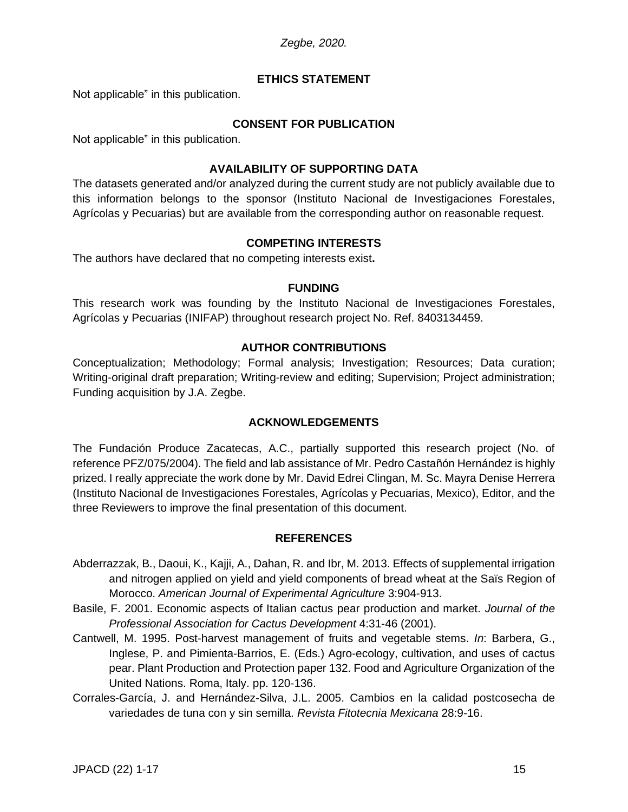#### **ETHICS STATEMENT**

Not applicable" in this publication.

#### **CONSENT FOR PUBLICATION**

Not applicable" in this publication.

#### **AVAILABILITY OF SUPPORTING DATA**

The datasets generated and/or analyzed during the current study are not publicly available due to this information belongs to the sponsor (Instituto Nacional de Investigaciones Forestales, Agrícolas y Pecuarias) but are available from the corresponding author on reasonable request.

#### **COMPETING INTERESTS**

The authors have declared that no competing interests exist**.**

#### **FUNDING**

This research work was founding by the Instituto Nacional de Investigaciones Forestales, Agrícolas y Pecuarias (INIFAP) throughout research project No. Ref. 8403134459.

#### **AUTHOR CONTRIBUTIONS**

Conceptualization; Methodology; Formal analysis; Investigation; Resources; Data curation; Writing-original draft preparation; Writing-review and editing; Supervision; Project administration; Funding acquisition by J.A. Zegbe.

#### **ACKNOWLEDGEMENTS**

The Fundación Produce Zacatecas, A.C., partially supported this research project (No. of reference PFZ/075/2004). The field and lab assistance of Mr. Pedro Castañón Hernández is highly prized. I really appreciate the work done by Mr. David Edrei Clingan, M. Sc. Mayra Denise Herrera (Instituto Nacional de Investigaciones Forestales, Agrícolas y Pecuarias, Mexico), Editor, and the three Reviewers to improve the final presentation of this document.

#### **REFERENCES**

- Abderrazzak, B., Daoui, K., Kajji, A., Dahan, R. and Ibr, M. 2013. Effects of supplemental irrigation and nitrogen applied on yield and yield components of bread wheat at the Saïs Region of Morocco. *American Journal of Experimental Agriculture* 3:904-913.
- Basile, F. 2001. Economic aspects of Italian cactus pear production and market. *Journal of the Professional Association for Cactus Development* 4:31-46 (2001).
- Cantwell, M. 1995. Post-harvest management of fruits and vegetable stems. *In*: Barbera, G., Inglese, P. and Pimienta-Barrios, E. (Eds.) Agro-ecology, cultivation, and uses of cactus pear. Plant Production and Protection paper 132. Food and Agriculture Organization of the United Nations. Roma, Italy. pp. 120-136.
- Corrales-García, J. and Hernández-Silva, J.L. 2005. Cambios en la calidad postcosecha de variedades de tuna con y sin semilla. *Revista Fitotecnia Mexicana* 28:9-16.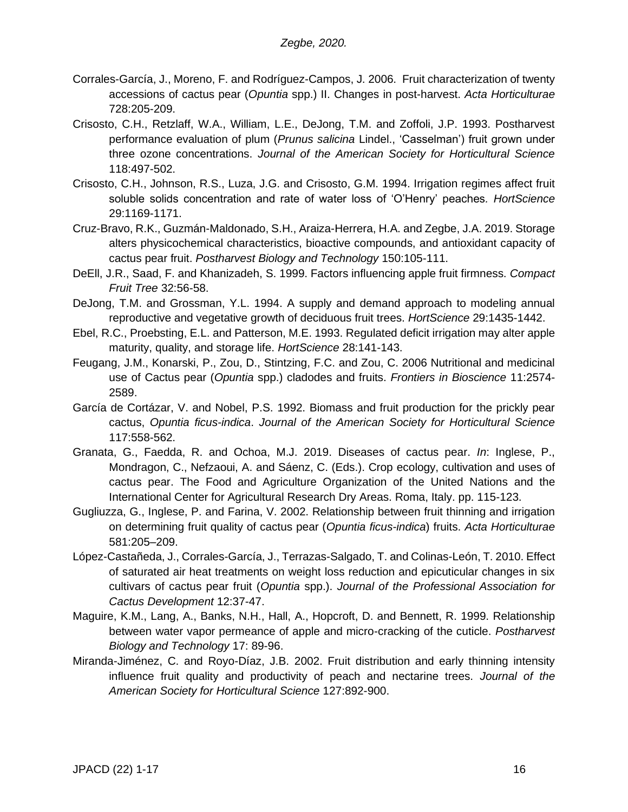- Corrales-García, J., Moreno, F. and Rodríguez-Campos, J. 2006. Fruit characterization of twenty accessions of cactus pear (*Opuntia* spp.) II. Changes in post-harvest. *Acta Horticulturae* 728:205-209.
- Crisosto, C.H., Retzlaff, W.A., William, L.E., DeJong, T.M. and Zoffoli, J.P. 1993. Postharvest performance evaluation of plum (*Prunus salicina* Lindel., 'Casselman') fruit grown under three ozone concentrations. *Journal of the American Society for Horticultural Science*  118:497-502.
- Crisosto, C.H., Johnson, R.S., Luza, J.G. and Crisosto, G.M. 1994. Irrigation regimes affect fruit soluble solids concentration and rate of water loss of 'O'Henry' peaches*. HortScience* 29:1169-1171.
- Cruz-Bravo, R.K., Guzmán-Maldonado, S.H., Araiza-Herrera, H.A. and Zegbe, J.A. 2019. Storage alters physicochemical characteristics, bioactive compounds, and antioxidant capacity of cactus pear fruit. *Postharvest Biology and Technology* 150:105-111.
- DeEll, J.R., Saad, F. and Khanizadeh, S. 1999. Factors influencing apple fruit firmness. *Compact Fruit Tree* 32:56-58.
- DeJong, T.M. and Grossman, Y.L. 1994. A supply and demand approach to modeling annual reproductive and vegetative growth of deciduous fruit trees. *HortScience* 29:1435-1442.
- Ebel, R.C., Proebsting, E.L. and Patterson, M.E. 1993. Regulated deficit irrigation may alter apple maturity, quality, and storage life. *HortScience* 28:141-143.
- Feugang, J.M., Konarski, P., Zou, D., Stintzing, F.C. and Zou, C. 2006 Nutritional and medicinal use of Cactus pear (*Opuntia* spp.) cladodes and fruits. *Frontiers in Bioscience* 11:2574- 2589.
- García de Cortázar, V. and Nobel, P.S. 1992. Biomass and fruit production for the prickly pear cactus, *Opuntia ficus-indica*. *Journal of the American Society for Horticultural Science*  117:558-562.
- Granata, G., Faedda, R. and Ochoa, M.J. 2019. Diseases of cactus pear. *In*: Inglese, P., Mondragon, C., Nefzaoui, A. and Sáenz, C. (Eds.). Crop ecology, cultivation and uses of cactus pear. The Food and Agriculture Organization of the United Nations and the International Center for Agricultural Research Dry Areas. Roma, Italy. pp. 115-123.
- Gugliuzza, G., Inglese, P. and Farina, V. 2002. Relationship between fruit thinning and irrigation on determining fruit quality of cactus pear (*Opuntia ficus-indica*) fruits. *Acta Horticulturae* 581:205–209.
- López-Castañeda, J., Corrales-García, J., Terrazas-Salgado, T. and Colinas-León, T. 2010. Effect of saturated air heat treatments on weight loss reduction and epicuticular changes in six cultivars of cactus pear fruit (*Opuntia* spp.). *Journal of the Professional Association for Cactus Development* 12:37-47.
- Maguire, K.M., Lang, A., Banks, N.H., Hall, A., Hopcroft, D. and Bennett, R. 1999. Relationship between water vapor permeance of apple and micro-cracking of the cuticle. *Postharvest Biology and Technology* 17: 89-96.
- Miranda-Jiménez, C. and Royo-Díaz, J.B. 2002. Fruit distribution and early thinning intensity influence fruit quality and productivity of peach and nectarine trees. *Journal of the American Society for Horticultural Science* 127:892-900.